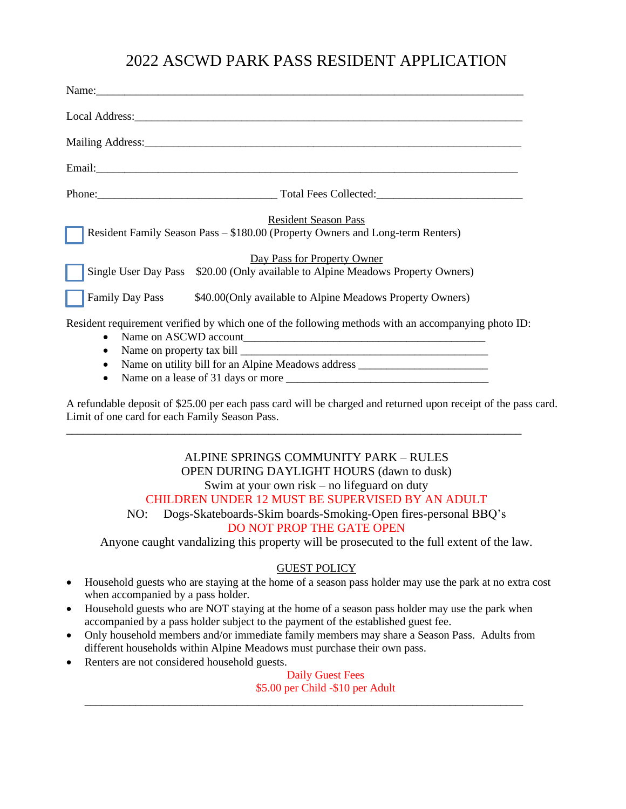## 2022 ASCWD PARK PASS RESIDENT APPLICATION

|                | Name: Name and the same state of the same state of the same state of the same state of the same state of the same state of the same state of the same state of the same state of the same state of the same state of the same   |
|----------------|---------------------------------------------------------------------------------------------------------------------------------------------------------------------------------------------------------------------------------|
|                |                                                                                                                                                                                                                                 |
|                |                                                                                                                                                                                                                                 |
|                | Email: Email:                                                                                                                                                                                                                   |
|                | Phone: Total Fees Collected: Total Fees Collected:                                                                                                                                                                              |
|                | <b>Resident Season Pass</b><br>Resident Family Season Pass - \$180.00 (Property Owners and Long-term Renters)<br>Day Pass for Property Owner<br>Single User Day Pass \$20.00 (Only available to Alpine Meadows Property Owners) |
|                | Family Day Pass \$40.00(Only available to Alpine Meadows Property Owners)                                                                                                                                                       |
| $\bullet$<br>٠ | Resident requirement verified by which one of the following methods with an accompanying photo ID:<br>Name on utility bill for an Alpine Meadows address ______________________________                                         |

• Name on a lease of 31 days or more \_\_\_\_\_\_\_\_\_\_\_\_\_\_\_\_\_\_\_\_\_\_\_\_\_\_\_\_\_\_\_\_\_\_\_\_

A refundable deposit of \$25.00 per each pass card will be charged and returned upon receipt of the pass card. Limit of one card for each Family Season Pass.

\_\_\_\_\_\_\_\_\_\_\_\_\_\_\_\_\_\_\_\_\_\_\_\_\_\_\_\_\_\_\_\_\_\_\_\_\_\_\_\_\_\_\_\_\_\_\_\_\_\_\_\_\_\_\_\_\_\_\_\_\_\_\_\_\_\_\_\_\_\_\_\_\_\_\_\_\_\_\_\_\_

### ALPINE SPRINGS COMMUNITY PARK – RULES OPEN DURING DAYLIGHT HOURS (dawn to dusk) Swim at your own risk – no lifeguard on duty CHILDREN UNDER 12 MUST BE SUPERVISED BY AN ADULT

# NO: Dogs-Skateboards-Skim boards-Smoking-Open fires-personal BBQ's

## DO NOT PROP THE GATE OPEN

Anyone caught vandalizing this property will be prosecuted to the full extent of the law.

### GUEST POLICY

- Household guests who are staying at the home of a season pass holder may use the park at no extra cost when accompanied by a pass holder.
- Household guests who are NOT staying at the home of a season pass holder may use the park when accompanied by a pass holder subject to the payment of the established guest fee.
- Only household members and/or immediate family members may share a Season Pass. Adults from different households within Alpine Meadows must purchase their own pass.

\_\_\_\_\_\_\_\_\_\_\_\_\_\_\_\_\_\_\_\_\_\_\_\_\_\_\_\_\_\_\_\_\_\_\_\_\_\_\_\_\_\_\_\_\_\_\_\_\_\_\_\_\_\_\_\_\_\_\_\_\_\_\_\_\_\_\_\_\_\_\_\_\_\_\_\_\_\_

• Renters are not considered household guests.

Daily Guest Fees \$5.00 per Child -\$10 per Adult